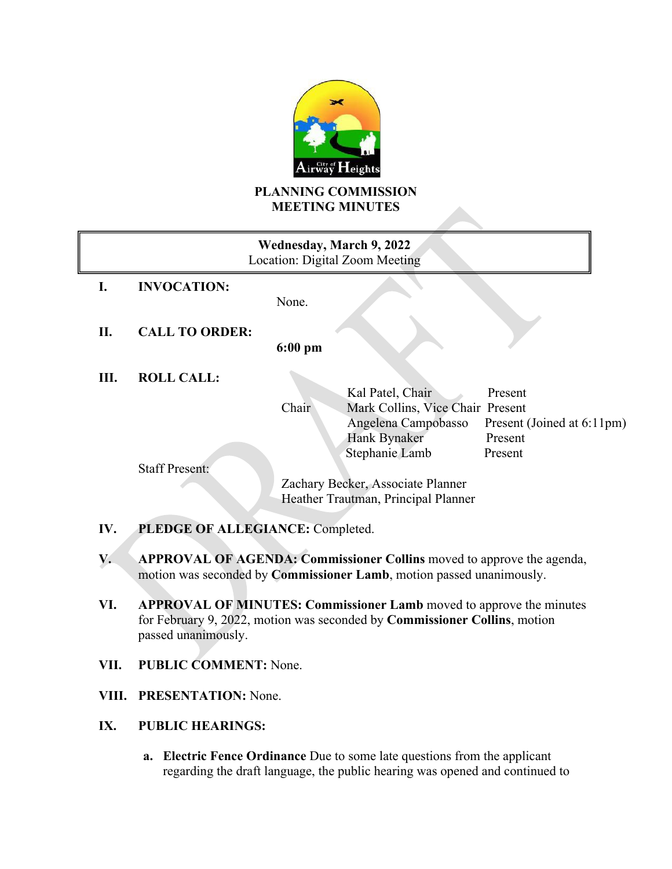

# **PLANNING COMMISSION MEETING MINUTES**

| Wednesday, March 9, 2022<br>Location: Digital Zoom Meeting |                                     |                                   |                                     |                                       |
|------------------------------------------------------------|-------------------------------------|-----------------------------------|-------------------------------------|---------------------------------------|
|                                                            | <b>INVOCATION:</b>                  | None.                             |                                     |                                       |
| П.                                                         | <b>CALL TO ORDER:</b>               | $6:00$ pm                         |                                     |                                       |
| Ш.                                                         | <b>ROLL CALL:</b>                   |                                   |                                     |                                       |
|                                                            |                                     |                                   | Kal Patel, Chair                    | Present                               |
|                                                            |                                     | Chair                             | Mark Collins, Vice Chair Present    |                                       |
|                                                            |                                     |                                   | Angelena Campobasso<br>Hank Bynaker | Present (Joined at 6:11pm)<br>Present |
|                                                            |                                     |                                   | Stephanie Lamb                      | Present                               |
|                                                            | <b>Staff Present:</b>               |                                   |                                     |                                       |
|                                                            |                                     | Zachary Becker, Associate Planner |                                     |                                       |
|                                                            | Heather Trautman, Principal Planner |                                   |                                     |                                       |

- **IV. PLEDGE OF ALLEGIANCE:** Completed.
- **V. APPROVAL OF AGENDA: Commissioner Collins** moved to approve the agenda, motion was seconded by **Commissioner Lamb**, motion passed unanimously.
- **VI. APPROVAL OF MINUTES: Commissioner Lamb** moved to approve the minutes for February 9, 2022, motion was seconded by **Commissioner Collins**, motion passed unanimously.
- **VII. PUBLIC COMMENT:** None.
- **VIII. PRESENTATION:** None.
- **IX. PUBLIC HEARINGS:**
	- **a. Electric Fence Ordinance** Due to some late questions from the applicant regarding the draft language, the public hearing was opened and continued to